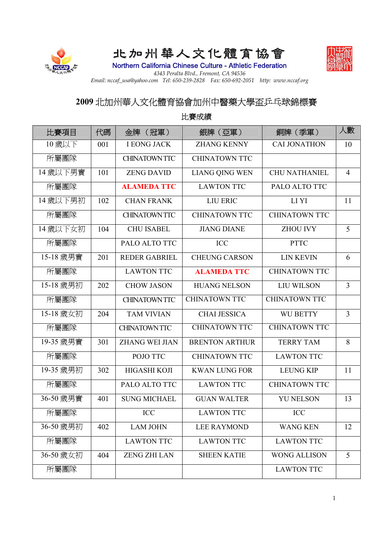

## 北加州華人文化體育協會



Northern California Chinese Culture - Athletic Federation *4343 Peralta Blvd., Fremont, CA 94536 Email: nccaf\_usa@yahoo.com Tel: 650-239-2828 Fax: 650-692-2051 http: www.nccaf.org*

## **2009** 北加州華人文化體育協會加州中醫藥大學盃乒乓球錦標賽

比賽項目 太低 | 金牌 (冠軍) | 銀牌 (亞軍) | 銅牌 (季軍) 太數 10 歳以下 | 001 | IEONG JACK | ZHANG KENNY | CALJONATHON | 10 所屬團隊 CHINATOWN TTC CHINATOWN TTC 14歲以下男實 | 101 | ZENG DAVID | LIANG QING WEN | CHU NATHANIEL | 4 所屬團隊 **ALAMEDA TTC** LAWTON TTC PALO ALTO TTC 14歲以下男初 | 102 | CHAN FRANK | LIU ERIC | LI YI | | | | | **所屬團隊 | CHINATOWN TTC | CHINATOWN TTC | CHINATOWN TTC** 14歲以下女初 | 104 | CHU ISABEL | JIANG DIANE | ZHOU IVY | 5 所屬團隊 | PALO ALTO TTC | ICC | PTTC 15-18 歳男實 | 201 | REDER GABRIEL | CHEUNG CARSON | LIN KEVIN | 6 所屬團隊 LAWTON TTC **ALAMEDA TTC** CHINATOWN TTC 15-18 歳男初 202 L CHOW JASON L HUANG NELSON L LIU WILSON L 3 所屬團隊 CHINATOWN TTC CHINATOWN TTC CHINATOWN TTC 15-18 歲女初 204 TAM VIVIAN CHAI JESSICA WU BETTY 3 所屬團隊 CHINATOWN TTC CHINATOWN TTC CHINATOWN TTC 19-35 歲男實 | 301 | ZHANG WEI JIAN | BRENTON ARTHUR | TERRY TAM | 8 所屬團隊 POJO TTC CHINATOWN TTC LAWTON TTC 19-35 歲男初 302 HIGASHI KOJI KWAN LUNG FOR LEUNG KIP 11 所屬團隊 PALO ALTO TTC LAWTON TTC CHINATOWN TTC 36-50 歲男實 | 401 | SUNG MICHAEL | GUAN WALTER | YU NELSON | 13 **所屬團隊 ICC LAWTON TTC ICC** 36-50 歳男初 | 402 | LAM JOHN | LEE RAYMOND | WANG KEN | 12 所屬團隊 LAWTON TTC LAWTON TTC LAWTON TTC 36-50 歳女初 | 404 | ZENG ZHI LAN | SHEEN KATIE | WONG ALLISON | 5 所屬團隊 LAWTON TTC

比賽成績